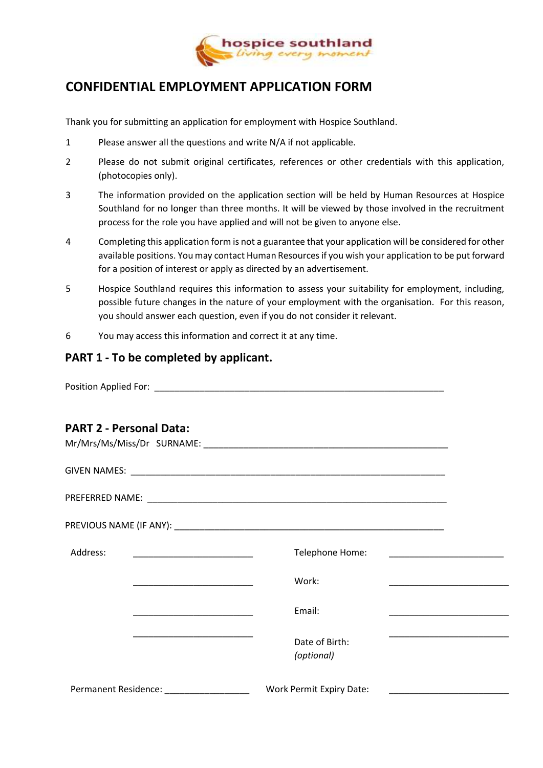

# **CONFIDENTIAL EMPLOYMENT APPLICATION FORM**

Thank you for submitting an application for employment with Hospice Southland.

- 1 Please answer all the questions and write N/A if not applicable.
- 2 Please do not submit original certificates, references or other credentials with this application, (photocopies only).
- 3 The information provided on the application section will be held by Human Resources at Hospice Southland for no longer than three months. It will be viewed by those involved in the recruitment process for the role you have applied and will not be given to anyone else.
- 4 Completing this application form is not a guarantee that your application will be considered for other available positions. You may contact Human Resources if you wish your application to be put forward for a position of interest or apply as directed by an advertisement.
- 5 Hospice Southland requires this information to assess your suitability for employment, including, possible future changes in the nature of your employment with the organisation. For this reason, you should answer each question, even if you do not consider it relevant.
- 6 You may access this information and correct it at any time.

#### **PART 1 - To be completed by applicant.**

Position Applied For: \_\_\_\_\_\_\_\_\_\_\_\_\_\_\_\_\_\_\_\_\_\_\_\_\_\_\_\_\_\_\_\_\_\_\_\_\_\_\_\_\_\_\_\_\_\_\_\_\_\_\_\_\_\_\_\_\_\_

### **PART 2 - Personal Data:**

| Address: | <u> 1989 - Johann John Stone, mars et al. 1989 - John Stone, mars et al. 1989 - John Stone, mars et al. 1989 - John Stone</u> | Telephone Home:                 |  |
|----------|-------------------------------------------------------------------------------------------------------------------------------|---------------------------------|--|
|          |                                                                                                                               | Work:                           |  |
|          |                                                                                                                               | Email:                          |  |
|          |                                                                                                                               | Date of Birth:<br>(optional)    |  |
|          | Permanent Residence: National Permanent Residence:                                                                            | <b>Work Permit Expiry Date:</b> |  |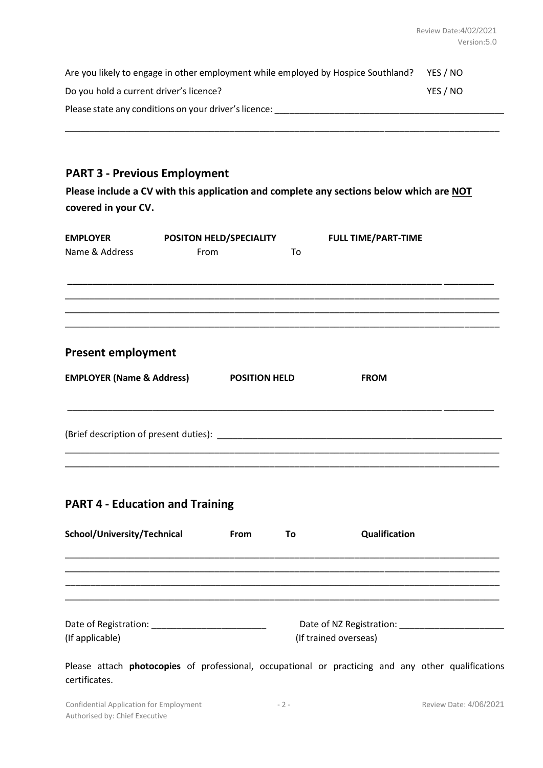| Are you likely to engage in other employment while employed by Hospice Southland? | YES / NO |
|-----------------------------------------------------------------------------------|----------|
| Do you hold a current driver's licence?                                           | YES / NO |
| Please state any conditions on your driver's licence:                             |          |

\_\_\_\_\_\_\_\_\_\_\_\_\_\_\_\_\_\_\_\_\_\_\_\_\_\_\_\_\_\_\_\_\_\_\_\_\_\_\_\_\_\_\_\_\_\_\_\_\_\_\_\_\_\_\_\_\_\_\_\_\_\_\_\_\_\_\_\_\_\_\_\_\_\_\_\_\_\_\_\_\_\_\_\_\_\_\_

### **PART 3 - Previous Employment**

**Please include a CV with this application and complete any sections below which are NOT covered in your CV.**

| <b>EMPLOYER</b><br>Name & Address    | From | POSITON HELD/SPECIALITY | To | <b>FULL TIME/PART-TIME</b> |  |
|--------------------------------------|------|-------------------------|----|----------------------------|--|
|                                      |      |                         |    |                            |  |
|                                      |      |                         |    |                            |  |
| <b>Present employment</b>            |      |                         |    |                            |  |
| <b>EMPLOYER (Name &amp; Address)</b> |      | <b>POSITION HELD</b>    |    | <b>FROM</b>                |  |
|                                      |      |                         |    |                            |  |
|                                      |      |                         |    |                            |  |

### **PART 4 - Education and Training**

| School/University/Technical                                                 | <b>From</b> | To                    | Qualification                                     |
|-----------------------------------------------------------------------------|-------------|-----------------------|---------------------------------------------------|
|                                                                             |             |                       |                                                   |
|                                                                             |             |                       |                                                   |
|                                                                             |             |                       |                                                   |
| Date of Registration: National Contract of Registration:<br>(If applicable) |             | (If trained overseas) | Date of NZ Registration: Date of NZ Registration: |

Please attach **photocopies** of professional, occupational or practicing and any other qualifications certificates.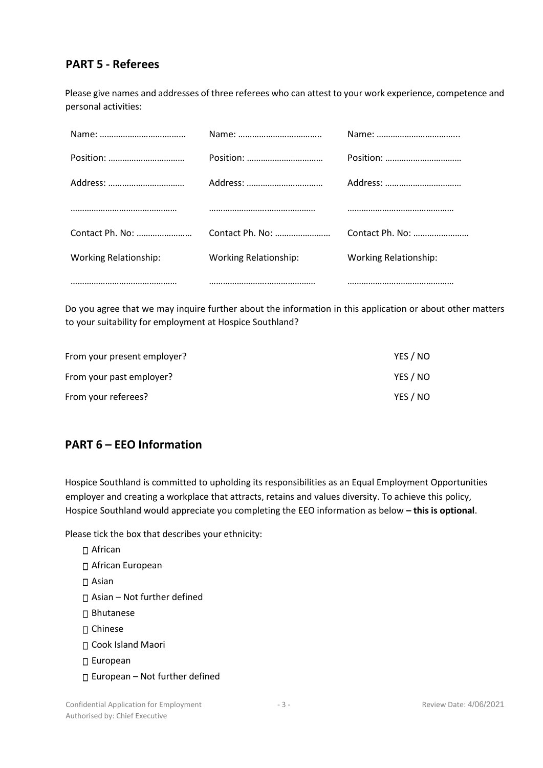### **PART 5 - Referees**

Please give names and addresses of three referees who can attest to your work experience, competence and personal activities:

|                              |                              | Address:                     |
|------------------------------|------------------------------|------------------------------|
|                              |                              |                              |
| Contact Ph. No:              | Contact Ph. No:              | Contact Ph. No:              |
| <b>Working Relationship:</b> | <b>Working Relationship:</b> | <b>Working Relationship:</b> |
|                              |                              |                              |

Do you agree that we may inquire further about the information in this application or about other matters to your suitability for employment at Hospice Southland?

| From your present employer? | YES / NO |
|-----------------------------|----------|
| From your past employer?    | YES / NO |
| From your referees?         | YES / NO |

### **PART 6 – EEO Information**

Hospice Southland is committed to upholding its responsibilities as an Equal Employment Opportunities employer and creating a workplace that attracts, retains and values diversity. To achieve this policy, Hospice Southland would appreciate you completing the EEO information as below **– this is optional**.

Please tick the box that describes your ethnicity:

□ African □ African European Asian Asian – Not further defined □ Bhutanese Chinese □ Cook Island Maori □ European  $\Box$  European – Not further defined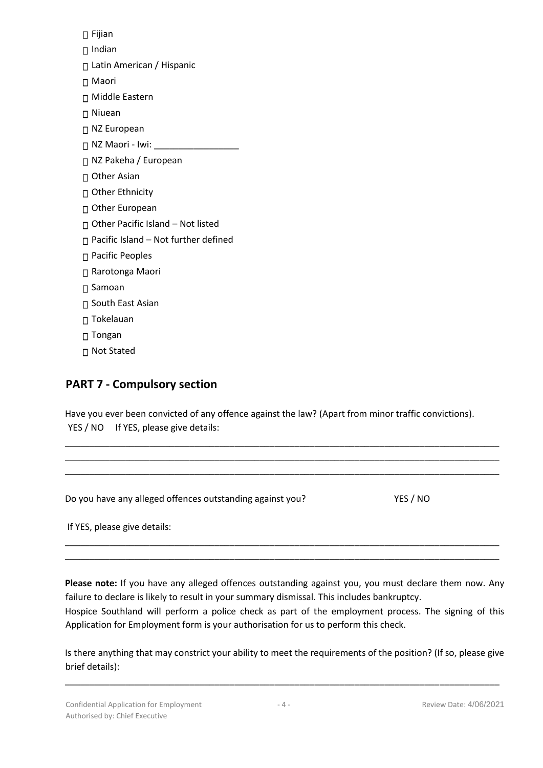□ Fijian  $\Box$  Indian □ Latin American / Hispanic Maori Middle Eastern □ Niuean □ NZ European □ NZ Maori - Iwi: NZ Pakeha / European □ Other Asian □ Other Ethnicity □ Other European □ Other Pacific Island – Not listed  $\Box$  Pacific Island – Not further defined □ Pacific Peoples Rarotonga Maori □ Samoan □ South East Asian □ Tokelauan □ Tongan □ Not Stated

### **PART 7 - Compulsory section**

Have you ever been convicted of any offence against the law? (Apart from minor traffic convictions). YES / NO If YES, please give details:

| Do you have any alleged offences outstanding against you? | YES / NO |
|-----------------------------------------------------------|----------|
| If YES, please give details:                              |          |

\_\_\_\_\_\_\_\_\_\_\_\_\_\_\_\_\_\_\_\_\_\_\_\_\_\_\_\_\_\_\_\_\_\_\_\_\_\_\_\_\_\_\_\_\_\_\_\_\_\_\_\_\_\_\_\_\_\_\_\_\_\_\_\_\_\_\_\_\_\_\_\_\_\_\_\_\_\_\_\_\_\_\_\_\_\_\_

**Please note:** If you have any alleged offences outstanding against you, you must declare them now. Any failure to declare is likely to result in your summary dismissal. This includes bankruptcy. Hospice Southland will perform a police check as part of the employment process. The signing of this Application for Employment form is your authorisation for us to perform this check.

\_\_\_\_\_\_\_\_\_\_\_\_\_\_\_\_\_\_\_\_\_\_\_\_\_\_\_\_\_\_\_\_\_\_\_\_\_\_\_\_\_\_\_\_\_\_\_\_\_\_\_\_\_\_\_\_\_\_\_\_\_\_\_\_\_\_\_\_\_\_\_\_\_\_\_\_\_\_\_\_\_\_\_\_\_\_\_

Is there anything that may constrict your ability to meet the requirements of the position? (If so, please give brief details):

\_\_\_\_\_\_\_\_\_\_\_\_\_\_\_\_\_\_\_\_\_\_\_\_\_\_\_\_\_\_\_\_\_\_\_\_\_\_\_\_\_\_\_\_\_\_\_\_\_\_\_\_\_\_\_\_\_\_\_\_\_\_\_\_\_\_\_\_\_\_\_\_\_\_\_\_\_\_\_\_\_\_\_\_\_\_\_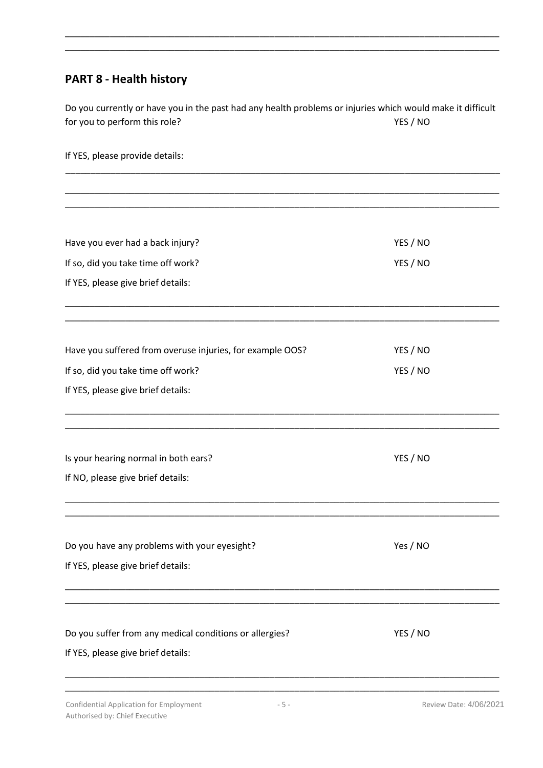## **PART 8 - Health history**

Do you currently or have you in the past had any health problems or injuries which would make it difficult for you to perform this role? The set of the set of the set of the YES / NO

\_\_\_\_\_\_\_\_\_\_\_\_\_\_\_\_\_\_\_\_\_\_\_\_\_\_\_\_\_\_\_\_\_\_\_\_\_\_\_\_\_\_\_\_\_\_\_\_\_\_\_\_\_\_\_\_\_\_\_\_\_\_\_\_\_\_\_\_\_\_\_\_\_\_\_\_\_\_\_\_\_\_\_\_\_\_\_ \_\_\_\_\_\_\_\_\_\_\_\_\_\_\_\_\_\_\_\_\_\_\_\_\_\_\_\_\_\_\_\_\_\_\_\_\_\_\_\_\_\_\_\_\_\_\_\_\_\_\_\_\_\_\_\_\_\_\_\_\_\_\_\_\_\_\_\_\_\_\_\_\_\_\_\_\_\_\_\_\_\_\_\_\_\_\_

If YES, please provide details:

| Have you ever had a back injury?                          | YES / NO |
|-----------------------------------------------------------|----------|
| If so, did you take time off work?                        | YES / NO |
| If YES, please give brief details:                        |          |
|                                                           |          |
| Have you suffered from overuse injuries, for example OOS? | YES / NO |
| If so, did you take time off work?                        | YES / NO |
| If YES, please give brief details:                        |          |
| Is your hearing normal in both ears?                      | YES / NO |
| If NO, please give brief details:                         |          |
| Do you have any problems with your eyesight?              | Yes / NO |
| If YES, please give brief details:                        |          |
| Do you suffer from any medical conditions or allergies?   | YES / NO |
| If YES, please give brief details:                        |          |
|                                                           |          |